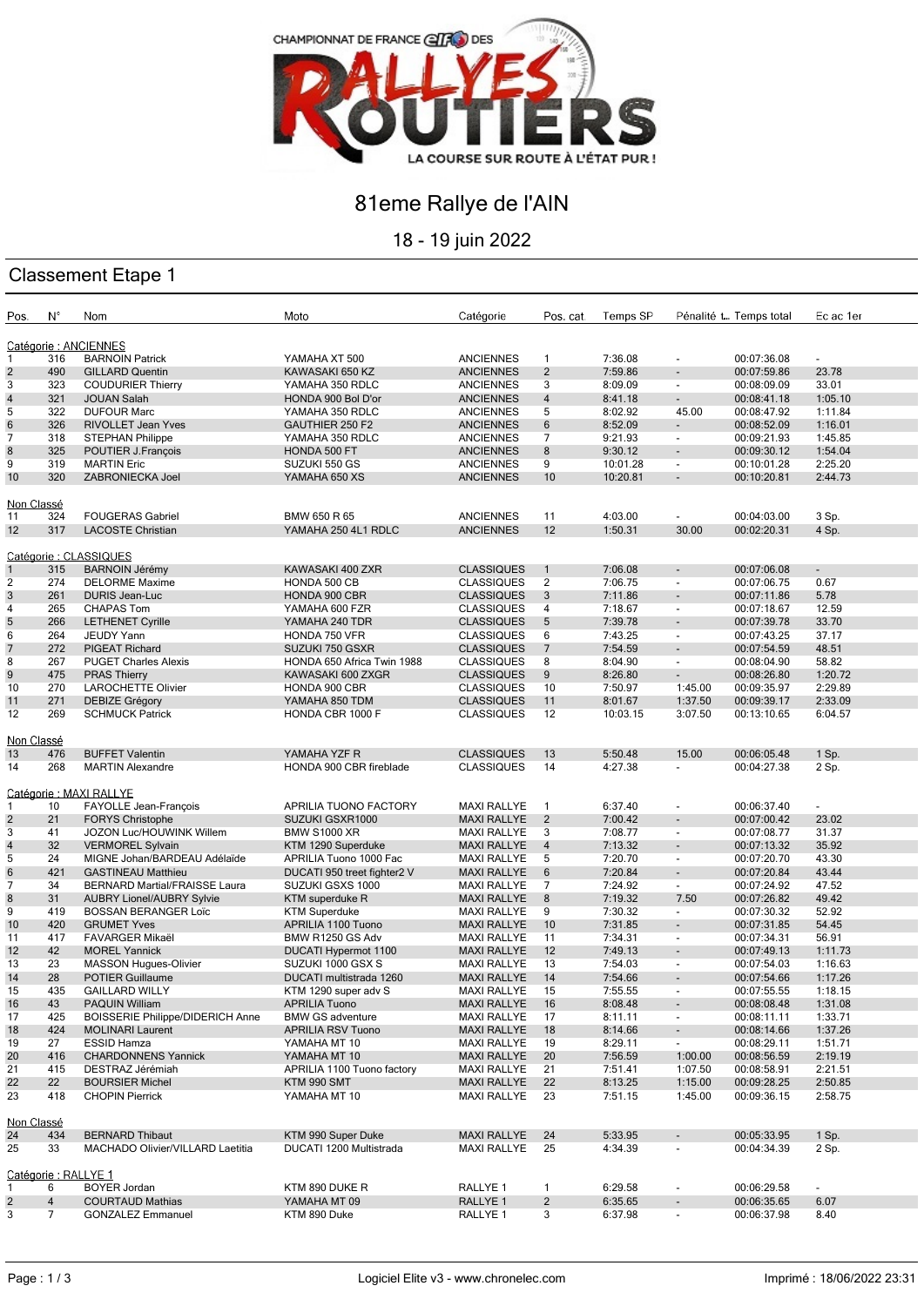

## 81eme Rallye de l'AIN

18 - 19 juin 2022

### Classement Etape 1

| Pos.                   | Ν°             | Nom                                     | Moto                        | Catégorie           | Pos. cat.       | Temps SP |                          | Pénalité t Temps total | Ec ac 1er      |
|------------------------|----------------|-----------------------------------------|-----------------------------|---------------------|-----------------|----------|--------------------------|------------------------|----------------|
| Catégorie : ANCIENNES  |                |                                         |                             |                     |                 |          |                          |                        |                |
| 1                      | 316            | <b>BARNOIN Patrick</b>                  | YAMAHA XT 500               | <b>ANCIENNES</b>    | 1               | 7:36.08  | $\blacksquare$           | 00:07:36.08            | $\blacksquare$ |
| $\overline{2}$         | 490            | <b>GILLARD Quentin</b>                  | KAWASAKI 650 KZ             | <b>ANCIENNES</b>    | $\overline{2}$  | 7:59.86  |                          | 00:07:59.86            | 23.78          |
| 3                      | 323            | <b>COUDURIER Thierry</b>                | YAMAHA 350 RDLC             | <b>ANCIENNES</b>    | 3               | 8:09.09  | $\overline{\phantom{a}}$ | 00:08:09.09            | 33.01          |
| $\sqrt{4}$             | 321            | <b>JOUAN Salah</b>                      | HONDA 900 Bol D'or          | <b>ANCIENNES</b>    | $\overline{4}$  | 8:41.18  | $\blacksquare$           | 00:08:41.18            | 1:05.10        |
| 5                      | 322            | <b>DUFOUR Marc</b>                      | YAMAHA 350 RDLC             | <b>ANCIENNES</b>    | 5               | 8:02.92  | 45.00                    | 00:08:47.92            | 1:11.84        |
| $\,6$                  | 326            | <b>RIVOLLET Jean Yves</b>               | GAUTHIER 250 F2             | <b>ANCIENNES</b>    | $\,6$           | 8:52.09  | $\blacksquare$           | 00:08:52.09            | 1:16.01        |
| 7                      | 318            | <b>STEPHAN Philippe</b>                 | YAMAHA 350 RDLC             | <b>ANCIENNES</b>    | 7               | 9:21.93  | $\overline{\phantom{a}}$ | 00:09:21.93            | 1:45.85        |
| $\bf 8$                | 325            | POUTIER J.François                      | HONDA 500 FT                | <b>ANCIENNES</b>    | 8               | 9:30.12  | $\overline{\phantom{a}}$ | 00:09:30.12            | 1:54.04        |
| 9                      | 319            | <b>MARTIN Eric</b>                      | SUZUKI 550 GS               | <b>ANCIENNES</b>    | 9               | 10:01.28 | $\overline{\phantom{a}}$ | 00:10:01.28            | 2:25.20        |
| 10                     | 320            | ZABRONIECKA Joel                        | YAMAHA 650 XS               | <b>ANCIENNES</b>    | 10              | 10:20.81 | $\blacksquare$           | 00:10:20.81            | 2:44.73        |
| Non Classé             |                |                                         |                             |                     |                 |          |                          |                        |                |
| 11                     | 324            | <b>FOUGERAS Gabriel</b>                 | BMW 650 R 65                | <b>ANCIENNES</b>    | 11              | 4:03.00  |                          | 00:04:03.00            | 3 Sp.          |
| 12                     | 317            | <b>LACOSTE Christian</b>                | YAMAHA 250 4L1 RDLC         | <b>ANCIENNES</b>    | 12              | 1:50.31  | 30.00                    | 00:02:20.31            | 4 Sp.          |
|                        |                |                                         |                             |                     |                 |          |                          |                        |                |
| Catégorie : CLASSIQUES |                |                                         |                             |                     |                 |          |                          |                        |                |
| $\mathbf{1}$           | 315            | <b>BARNOIN Jérémy</b>                   | KAWASAKI 400 ZXR            | <b>CLASSIQUES</b>   | $\mathbf{1}$    | 7:06.08  |                          | 00:07:06.08            | $\blacksquare$ |
| 2                      | 274            | <b>DELORME Maxime</b>                   | HONDA 500 CB                | <b>CLASSIQUES</b>   | $\overline{2}$  | 7:06.75  | $\overline{\phantom{a}}$ | 00:07:06.75            | 0.67           |
| 3                      | 261            | <b>DURIS Jean-Luc</b>                   | HONDA 900 CBR               | <b>CLASSIQUES</b>   | $\mathbf{3}$    | 7:11.86  | $\overline{\phantom{a}}$ | 00:07:11.86            | 5.78           |
| 4                      | 265            | <b>CHAPAS Tom</b>                       | YAMAHA 600 FZR              | <b>CLASSIQUES</b>   | 4               | 7:18.67  | $\overline{\phantom{a}}$ | 00:07:18.67            | 12.59          |
| 5                      | 266            | <b>LETHENET Cyrille</b>                 | YAMAHA 240 TDR              | <b>CLASSIQUES</b>   | 5               | 7:39.78  |                          | 00:07:39.78            | 33.70          |
| 6                      | 264            | JEUDY Yann                              | HONDA 750 VFR               | <b>CLASSIQUES</b>   | 6               | 7:43.25  | $\overline{\phantom{a}}$ | 00:07:43.25            | 37.17          |
| $\overline{7}$         | 272            | PIGEAT Richard                          | SUZUKI 750 GSXR             | <b>CLASSIQUES</b>   | $\overline{7}$  | 7:54.59  | $\blacksquare$           | 00:07:54.59            | 48.51          |
| 8                      | 267            | <b>PUGET Charles Alexis</b>             | HONDA 650 Africa Twin 1988  | <b>CLASSIQUES</b>   | 8               | 8:04.90  | $\overline{\phantom{a}}$ | 00:08:04.90            | 58.82          |
| $9\,$                  | 475            | <b>PRAS Thierry</b>                     | KAWASAKI 600 ZXGR           | <b>CLASSIQUES</b>   | 9               | 8:26.80  | $\overline{\phantom{a}}$ | 00:08:26.80            | 1:20.72        |
| 10                     | 270            | <b>LAROCHETTE Olivier</b>               | HONDA 900 CBR               | <b>CLASSIQUES</b>   | 10              | 7:50.97  | 1:45.00                  | 00:09:35.97            | 2:29.89        |
| 11                     | 271            | <b>DEBIZE Grégory</b>                   | YAMAHA 850 TDM              | <b>CLASSIQUES</b>   | 11              | 8:01.67  | 1:37.50                  | 00:09:39.17            | 2:33.09        |
| 12                     | 269            | <b>SCHMUCK Patrick</b>                  | HONDA CBR 1000 F            | <b>CLASSIQUES</b>   | 12              | 10:03.15 | 3:07.50                  | 00:13:10.65            | 6:04.57        |
|                        |                |                                         |                             |                     |                 |          |                          |                        |                |
| Non Classé             |                |                                         |                             |                     |                 |          |                          |                        |                |
| 13                     | 476            | <b>BUFFET Valentin</b>                  | YAMAHA YZF R                | <b>CLASSIQUES</b>   | 13              | 5:50.48  | 15.00                    | 00:06:05.48            | 1 Sp.          |
| 14                     | 268            | <b>MARTIN Alexandre</b>                 | HONDA 900 CBR fireblade     | <b>CLASSIQUES</b>   | 14              | 4:27.38  | $\overline{\phantom{a}}$ | 00:04:27.38            | 2 Sp.          |
|                        |                |                                         |                             |                     |                 |          |                          |                        |                |
|                        |                | Catégorie : MAXI RALLYE                 |                             |                     |                 |          |                          |                        |                |
| 1                      | 10             | FAYOLLE Jean-François                   | APRILIA TUONO FACTORY       | <b>MAXI RALLYE</b>  | $\mathbf{1}$    | 6:37.40  | $\blacksquare$           | 00:06:37.40            | $\blacksquare$ |
| $\overline{2}$         | 21             | <b>FORYS Christophe</b>                 | SUZUKI GSXR1000             | <b>MAXI RALLYE</b>  | $\overline{2}$  | 7:00.42  |                          | 00:07:00.42            | 23.02          |
| 3                      | 41             | JOZON Luc/HOUWINK Willem                | <b>BMW S1000 XR</b>         | <b>MAXI RALLYE</b>  | 3               | 7:08.77  | $\overline{\phantom{a}}$ | 00:07:08.77            | 31.37          |
| $\overline{4}$         | 32             | <b>VERMOREL Sylvain</b>                 | KTM 1290 Superduke          | <b>MAXI RALLYE</b>  | $\overline{4}$  | 7:13.32  | $\overline{\phantom{a}}$ | 00:07:13.32            | 35.92          |
| 5                      | 24             | MIGNE Johan/BARDEAU Adélaïde            | APRILIA Tuono 1000 Fac      | <b>MAXI RALLYE</b>  | 5               | 7:20.70  | $\overline{\phantom{a}}$ | 00:07:20.70            | 43.30          |
| $\,6$                  | 421            | <b>GASTINEAU Matthieu</b>               | DUCATI 950 treet fighter2 V | <b>MAXI RALLYE</b>  | $6\phantom{.}6$ | 7:20.84  | $\blacksquare$           | 00:07:20.84            | 43.44          |
| $\overline{7}$         | 34             | BERNARD Martial/FRAISSE Laura           | SUZUKI GSXS 1000            | <b>MAXI RALLYE</b>  | 7               | 7:24.92  | $\overline{\phantom{a}}$ | 00:07:24.92            | 47.52          |
| $\bf 8$                | 31             | <b>AUBRY Lionel/AUBRY Sylvie</b>        | KTM superduke R             | <b>MAXI RALLYE</b>  | 8               | 7:19.32  | 7.50                     | 00:07:26.82            | 49.42          |
| 9                      | 419            | <b>BOSSAN BERANGER Loïc</b>             | <b>KTM Superduke</b>        | MAXI RALLYE         | 9               | 7:30.32  | $\overline{\phantom{a}}$ | 00:07:30.32            | 52.92          |
| 10                     | 420            | <b>GRUMET Yves</b>                      | APRILIA 1100 Tuono          | <b>MAXI RALLYE</b>  | 10              | 7:31.85  | $\blacksquare$           | 00:07:31.85            | 54.45          |
| 11                     | 417            | <b>FAVARGER Mikaël</b>                  | BMW R1250 GS Adv            | <b>MAXI RALLYE</b>  | 11              | 7:34.31  | $\overline{\phantom{a}}$ | 00:07:34.31            | 56.91          |
| 12                     | 42             | <b>MOREL Yannick</b>                    | DUCATI Hypermot 1100        | <b>MAXI RALLYE</b>  | 12              | 7:49.13  | $\blacksquare$           | 00:07:49.13            | 1:11.73        |
| 13                     | 23             | MASSON Hugues-Olivier                   | SUZUKI 1000 GSX S           | <b>MAXI RALLYE</b>  | 13              | 7:54.03  | $\overline{\phantom{a}}$ | 00:07:54.03            | 1:16.63        |
| 14                     | 28             | <b>POTIER Guillaume</b>                 | DUCATI multistrada 1260     | <b>MAXI RALLYE</b>  | 14              | 7:54.66  |                          | 00:07:54.66            | 1:17.26        |
| 15                     | 435            | <b>GAILLARD WILLY</b>                   | KTM 1290 super adv S        | <b>MAXI RALLYE</b>  | 15              | 7:55.55  |                          | 00:07:55.55            | 1:18.15        |
| 16                     | 43             | PAQUIN William                          | <b>APRILIA Tuono</b>        | <b>MAXI RALLYE</b>  | 16              | 8:08.48  |                          | 00:08:08.48            | 1:31.08        |
| 17                     | 425            | <b>BOISSERIE Philippe/DIDERICH Anne</b> | <b>BMW GS adventure</b>     | <b>MAXI RALLYE</b>  | 17              | 8:11.11  | $\overline{\phantom{a}}$ | 00:08:11.11            | 1:33.71        |
| 18                     | 424            | <b>MOLINARI Laurent</b>                 | <b>APRILIA RSV Tuono</b>    | <b>MAXI RALLYE</b>  | 18              | 8:14.66  | $\overline{\phantom{a}}$ | 00:08:14.66            | 1:37.26        |
| 19                     | 27             | <b>ESSID Hamza</b>                      | YAMAHA MT 10                | <b>MAXI RALLYE</b>  | 19              | 8:29.11  | $\overline{\phantom{a}}$ | 00:08:29.11            | 1:51.71        |
| 20                     | 416            | <b>CHARDONNENS Yannick</b>              | YAMAHA MT 10                | <b>MAXI RALLYE</b>  | 20              | 7:56.59  | 1:00.00                  | 00:08:56.59            | 2:19.19        |
| 21                     | 415            | DESTRAZ Jérémiah                        | APRILIA 1100 Tuono factory  | <b>MAXI RALLYE</b>  | 21              | 7:51.41  | 1:07.50                  | 00:08:58.91            | 2:21.51        |
| 22                     | 22             | <b>BOURSIER Michel</b>                  | KTM 990 SMT                 | <b>MAXI RALLYE</b>  | 22              | 8:13.25  | 1:15.00                  | 00:09:28.25            | 2:50.85        |
| 23                     | 418            | <b>CHOPIN Pierrick</b>                  | YAMAHA MT 10                | MAXI RALLYE         | 23              | 7:51.15  | 1:45.00                  | 00:09:36.15            | 2:58.75        |
|                        |                |                                         |                             |                     |                 |          |                          |                        |                |
| Non Classé             |                |                                         |                             |                     |                 |          |                          |                        |                |
| 24                     | 434            | <b>BERNARD Thibaut</b>                  | KTM 990 Super Duke          | <b>MAXI RALLYE</b>  | 24              | 5:33.95  |                          | 00:05:33.95            | 1 Sp.          |
| 25                     | 33             | MACHADO Olivier/VILLARD Laetitia        | DUCATI 1200 Multistrada     | <b>MAXI RALLYE</b>  | 25              | 4:34.39  |                          | 00:04:34.39            | 2 Sp.          |
|                        |                |                                         |                             |                     |                 |          |                          |                        |                |
| Catégorie: RALLYE 1    |                |                                         |                             |                     |                 |          |                          |                        |                |
| 1                      | 6              | <b>BOYER Jordan</b>                     | KTM 890 DUKE R              | RALLYE 1            | $\mathbf{1}$    | 6:29.58  |                          | 00:06:29.58            | $\blacksquare$ |
| $\overline{c}$         | $\overline{4}$ | <b>COURTAUD Mathias</b>                 | YAMAHA MT 09                | RALLYE <sub>1</sub> | $\overline{2}$  | 6:35.65  |                          | 00:06:35.65            | 6.07           |
| 3                      | $\overline{7}$ | <b>GONZALEZ Emmanuel</b>                | KTM 890 Duke                | RALLYE 1            | 3               | 6:37.98  | $\overline{\phantom{a}}$ | 00:06:37.98            | 8.40           |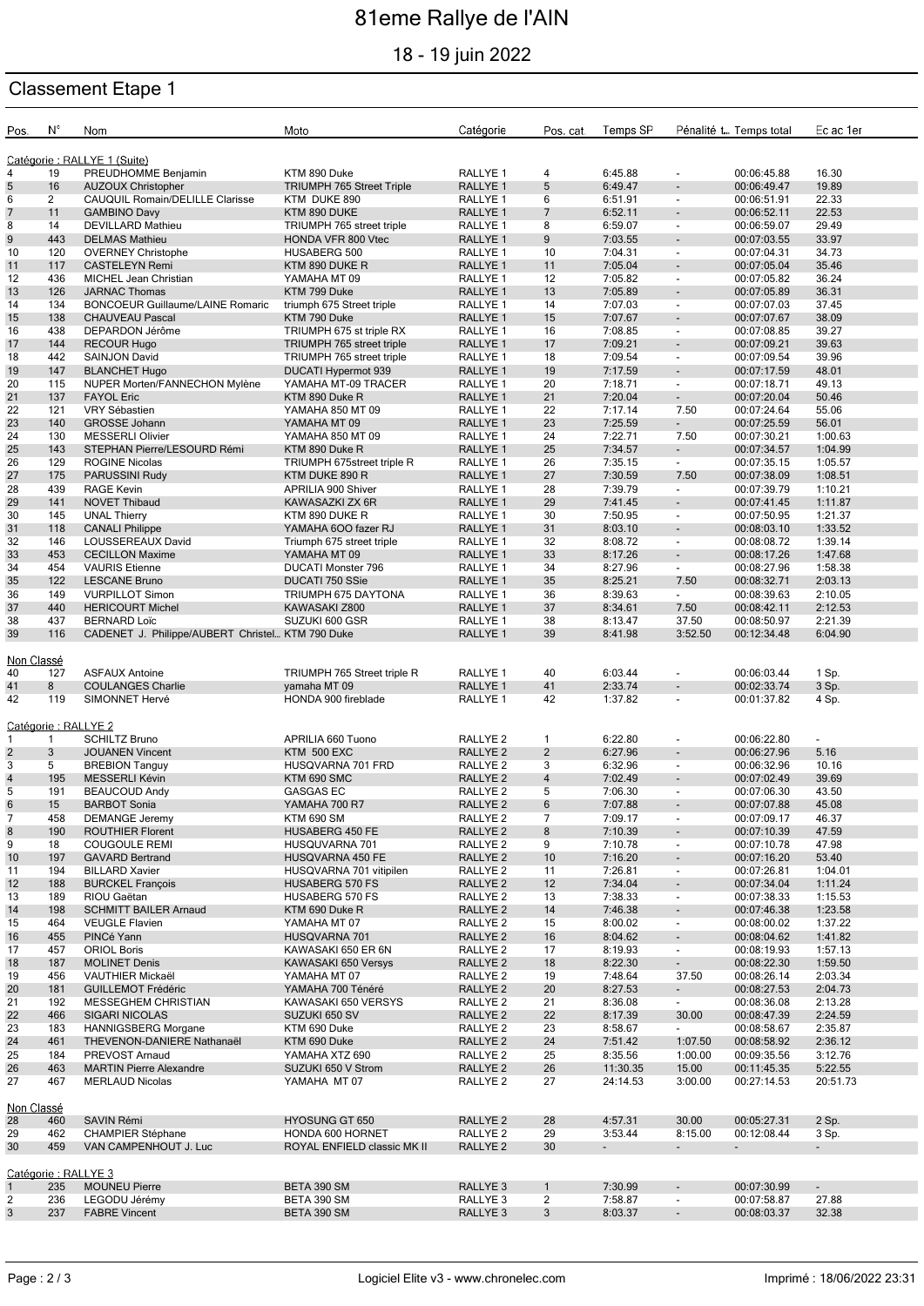# 81eme Rallye de l'AIN

18 - 19 juin 2022

### Classement Etape 1

| Pos.                         | N°           | Nom                                              | Moto                             | Catégorie                       | Pos. cat.      | Temps SP           |                          | Pénalité t Temps total     | Ec ac 1er                |  |
|------------------------------|--------------|--------------------------------------------------|----------------------------------|---------------------------------|----------------|--------------------|--------------------------|----------------------------|--------------------------|--|
| Catégorie : RALLYE 1 (Suite) |              |                                                  |                                  |                                 |                |                    |                          |                            |                          |  |
| 4<br>5                       | 19<br>16     | PREUDHOMME Benjamin<br><b>AUZOUX Christopher</b> | KTM 890 Duke                     | RALLYE 1<br>RALLYE <sub>1</sub> | 4<br>5         | 6:45.88<br>6:49.47 | $\blacksquare$           | 00:06:45.88<br>00:06:49.47 | 16.30<br>19.89           |  |
|                              |              |                                                  | <b>TRIUMPH 765 Street Triple</b> |                                 |                |                    | $\overline{\phantom{a}}$ |                            |                          |  |
| 6                            | 2            | CAUQUIL Romain/DELILLE Clarisse                  | KTM DUKE 890                     | RALLYE <sub>1</sub>             | 6              | 6:51.91            | $\overline{\phantom{a}}$ | 00:06:51.91                | 22.33                    |  |
| $\overline{7}$               | 11           | <b>GAMBINO Davy</b>                              | KTM 890 DUKE                     | RALLYE <sub>1</sub>             | 7              | 6:52.11            | $\blacksquare$           | 00:06:52.11                | 22.53                    |  |
| 8                            | 14           | <b>DEVILLARD Mathieu</b>                         | TRIUMPH 765 street triple        | RALLYE 1                        | 8              | 6:59.07            | $\overline{\phantom{a}}$ | 00:06:59.07                | 29.49                    |  |
| 9                            | 443          | <b>DELMAS Mathieu</b>                            | HONDA VFR 800 Vtec               | RALLYE <sub>1</sub>             | 9              | 7:03.55            | $\overline{\phantom{a}}$ | 00:07:03.55                | 33.97                    |  |
| 10                           | 120          | <b>OVERNEY Christophe</b>                        | HUSABERG 500                     | RALLYE 1                        | 10             | 7:04.31            | $\overline{\phantom{a}}$ | 00:07:04.31                | 34.73                    |  |
| 11                           | 117          | <b>CASTELEYN Remi</b>                            | KTM 890 DUKE R                   | RALLYE <sub>1</sub>             | 11             | 7:05.04            |                          | 00:07:05.04                | 35.46                    |  |
| 12                           | 436          | MICHEL Jean Christian                            | YAMAHA MT 09                     | RALLYE <sub>1</sub>             | 12             | 7:05.82            | $\overline{\phantom{a}}$ | 00:07:05.82                | 36.24                    |  |
| 13                           | 126          | <b>JARNAC Thomas</b>                             | KTM 799 Duke                     | RALLYE <sub>1</sub>             | 13             | 7:05.89            | $\overline{\phantom{a}}$ | 00:07:05.89                | 36.31                    |  |
| 14                           | 134          | <b>BONCOEUR Guillaume/LAINE Romaric</b>          | triumph 675 Street triple        | RALLYE <sub>1</sub>             | 14             | 7:07.03            | $\blacksquare$           | 00:07:07.03                | 37.45                    |  |
| 15                           | 138          | <b>CHAUVEAU Pascal</b>                           | KTM 790 Duke                     | RALLYE <sub>1</sub>             | 15             | 7:07.67            | $\overline{\phantom{a}}$ | 00:07:07.67                | 38.09                    |  |
| 16                           | 438          | DEPARDON Jérôme                                  | TRIUMPH 675 st triple RX         | RALLYE <sub>1</sub>             | 16             | 7:08.85            | $\blacksquare$           | 00:07:08.85                | 39.27                    |  |
| 17                           | 144          | <b>RECOUR Hugo</b>                               | TRIUMPH 765 street triple        | RALLYE <sub>1</sub>             | 17             | 7:09.21            | $\overline{\phantom{a}}$ | 00:07:09.21                | 39.63                    |  |
| 18                           | 442          | SAINJON David                                    | TRIUMPH 765 street triple        | RALLYE 1                        | 18             | 7:09.54            | $\overline{\phantom{a}}$ | 00:07:09.54                | 39.96                    |  |
| 19                           | 147          | <b>BLANCHET Hugo</b>                             | DUCATI Hypermot 939              | RALLYE <sub>1</sub>             | 19             | 7:17.59            | $\blacksquare$           | 00:07:17.59                | 48.01                    |  |
| 20                           | 115          | NUPER Morten/FANNECHON Mylène                    | YAMAHA MT-09 TRACER              | RALLYE <sub>1</sub>             | 20             | 7:18.71            | $\overline{\phantom{a}}$ | 00:07:18.71                | 49.13                    |  |
| 21                           | 137          | <b>FAYOL Eric</b>                                | KTM 890 Duke R                   | RALLYE <sub>1</sub>             | 21             | 7:20.04            | $\overline{\phantom{a}}$ | 00:07:20.04                | 50.46                    |  |
| 22                           |              | VRY Sébastien                                    |                                  |                                 | 22             | 7:17.14            |                          |                            | 55.06                    |  |
|                              | 121          |                                                  | YAMAHA 850 MT 09                 | RALLYE <sub>1</sub>             |                |                    | 7.50                     | 00:07:24.64                |                          |  |
| 23                           | 140          | <b>GROSSE Johann</b>                             | YAMAHA MT 09                     | <b>RALLYE 1</b>                 | 23             | 7:25.59            | $\overline{\phantom{a}}$ | 00:07:25.59                | 56.01                    |  |
| 24                           | 130          | <b>MESSERLI Olivier</b>                          | YAMAHA 850 MT 09                 | RALLYE <sub>1</sub>             | 24             | 7:22.71            | 7.50                     | 00:07:30.21                | 1:00.63                  |  |
| 25                           | 143          | STEPHAN Pierre/LESOURD Rémi                      | KTM 890 Duke R                   | RALLYE <sub>1</sub>             | 25             | 7:34.57            | $\blacksquare$           | 00:07:34.57                | 1:04.99                  |  |
| 26                           | 129          | <b>ROGINE Nicolas</b>                            | TRIUMPH 675street triple R       | RALLYE <sub>1</sub>             | 26             | 7:35.15            | $\overline{\phantom{a}}$ | 00:07:35.15                | 1:05.57                  |  |
| 27                           | 175          | PARUSSINI Rudy                                   | KTM DUKE 890 R                   | RALLYE <sub>1</sub>             | 27             | 7:30.59            | 7.50                     | 00:07:38.09                | 1:08.51                  |  |
| 28                           | 439          | <b>RAGE Kevin</b>                                | APRILIA 900 Shiver               | RALLYE <sub>1</sub>             | 28             | 7:39.79            | $\overline{\phantom{a}}$ | 00:07:39.79                | 1:10.21                  |  |
| 29                           | 141          | <b>NOVET Thibaud</b>                             | KAWASAZKI ZX 6R                  | RALLYE 1                        | 29             | 7:41.45            | $\overline{\phantom{a}}$ | 00:07:41.45                | 1:11.87                  |  |
| 30                           | 145          | <b>UNAL Thierry</b>                              | KTM 890 DUKE R                   | RALLYE <sub>1</sub>             | 30             | 7:50.95            | $\overline{\phantom{a}}$ | 00:07:50.95                | 1:21.37                  |  |
| 31                           | 118          | <b>CANALI Philippe</b>                           | YAMAHA 600 fazer RJ              | RALLYE <sub>1</sub>             | 31             | 8:03.10            | $\blacksquare$           | 00:08:03.10                | 1:33.52                  |  |
| 32                           | 146          | LOUSSEREAUX David                                | Triumph 675 street triple        | RALLYE 1                        | 32             | 8:08.72            | $\overline{\phantom{a}}$ | 00:08:08.72                | 1:39.14                  |  |
| 33                           | 453          | <b>CECILLON Maxime</b>                           | YAMAHA MT 09                     | RALLYE <sub>1</sub>             | 33             | 8:17.26            | $\overline{\phantom{a}}$ | 00:08:17.26                | 1:47.68                  |  |
| 34                           | 454          | <b>VAURIS</b> Etienne                            | <b>DUCATI Monster 796</b>        | RALLYE <sub>1</sub>             | 34             | 8:27.96            | $\overline{\phantom{a}}$ | 00:08:27.96                | 1:58.38                  |  |
| 35                           | 122          | <b>LESCANE Bruno</b>                             | DUCATI 750 SSie                  | RALLYE <sub>1</sub>             | 35             | 8:25.21            | 7.50                     | 00:08:32.71                | 2:03.13                  |  |
| 36                           | 149          | <b>VURPILLOT Simon</b>                           | TRIUMPH 675 DAYTONA              | RALLYE <sub>1</sub>             | 36             | 8:39.63            | $\sim$                   | 00:08:39.63                | 2:10.05                  |  |
| 37                           | 440          | <b>HERICOURT Michel</b>                          | KAWASAKI Z800                    | RALLYE <sub>1</sub>             | 37             | 8:34.61            | 7.50                     | 00:08:42.11                | 2:12.53                  |  |
|                              |              |                                                  |                                  |                                 |                |                    |                          |                            |                          |  |
| 38                           | 437          | <b>BERNARD Loïc</b>                              | SUZUKI 600 GSR                   | RALLYE <sub>1</sub>             | 38             | 8:13.47            | 37.50                    | 00:08:50.97                | 2:21.39                  |  |
| 39                           | 116          | CADENET J. Philippe/AUBERT Christel KTM 790 Duke |                                  | RALLYE <sub>1</sub>             | 39             | 8:41.98            | 3:52.50                  | 00:12:34.48                | 6:04.90                  |  |
|                              |              |                                                  |                                  |                                 |                |                    |                          |                            |                          |  |
| Non Classé                   |              |                                                  |                                  |                                 |                |                    |                          |                            |                          |  |
| 40                           | 127          | <b>ASFAUX Antoine</b>                            | TRIUMPH 765 Street triple R      | RALLYE <sub>1</sub>             | 40             | 6:03.44            | $\blacksquare$           | 00:06:03.44                | 1 Sp.                    |  |
| 41                           | 8            | <b>COULANGES Charlie</b>                         | yamaha MT 09                     | RALLYE <sub>1</sub>             | 41             | 2:33.74            |                          | 00:02:33.74                | 3 Sp.                    |  |
| 42                           | 119          | SIMONNET Hervé                                   | HONDA 900 fireblade              | RALLYE <sub>1</sub>             | 42             | 1:37.82            | $\overline{\phantom{a}}$ | 00:01:37.82                | 4 Sp.                    |  |
|                              |              |                                                  |                                  |                                 |                |                    |                          |                            |                          |  |
| Catégorie : RALLYE 2         |              |                                                  |                                  |                                 |                |                    |                          |                            |                          |  |
| 1                            | $\mathbf{1}$ | <b>SCHILTZ Bruno</b>                             | APRILIA 660 Tuono                | RALLYE <sub>2</sub>             | $\mathbf{1}$   | 6:22.80            | $\blacksquare$           | 00:06:22.80                | $\overline{\phantom{0}}$ |  |
| $\overline{2}$               | 3            | <b>JOUANEN Vincent</b>                           | KTM 500 EXC                      | RALLYE <sub>2</sub>             | $\overline{2}$ | 6:27.96            | $\overline{\phantom{a}}$ | 00:06:27.96                | 5.16                     |  |
| 3                            | 5            | <b>BREBION Tanguy</b>                            | HUSQVARNA 701 FRD                | RALLYE <sub>2</sub>             | 3              | 6:32.96            | $\overline{\phantom{a}}$ | 00:06:32.96                | 10.16                    |  |
| $\overline{4}$               | 195          | MESSERLI Kévin                                   | KTM 690 SMC                      | RALLYE <sub>2</sub>             | $\overline{4}$ | 7:02.49            | $\overline{\phantom{a}}$ | 00:07:02.49                | 39.69                    |  |
| 5                            | 191          | <b>BEAUCOUD Andy</b>                             | <b>GASGAS EC</b>                 | RALLYE <sub>2</sub>             | 5              | 7:06.30            | $\blacksquare$           | 00:07:06.30                | 43.50                    |  |
| 6                            | 15           | <b>BARBOT Sonia</b>                              | YAMAHA 700 R7                    | RALLYE <sub>2</sub>             | 6              | 7:07.88            |                          | 00:07:07.88                | 45.08                    |  |
| $\overline{7}$               | 458          | <b>DEMANGE Jeremy</b>                            | <b>KTM 690 SM</b>                | RALLYE <sub>2</sub>             | 7              | 7:09.17            | $\overline{\phantom{a}}$ | 00:07:09.17                | 46.37                    |  |
| 8                            | 190          | <b>ROUTHIER Florent</b>                          | HUSABERG 450 FE                  | RALLYE <sub>2</sub>             | 8              | 7:10.39            | $\blacksquare$           | 00:07:10.39                | 47.59                    |  |
| 9                            | 18           | <b>COUGOULE REMI</b>                             | HUSQUVARNA 701                   |                                 |                |                    |                          |                            | 47.98                    |  |
|                              |              |                                                  | HUSQVARNA 450 FE                 | RALLYE <sub>2</sub>             | 9              | 7:10.78            | $\overline{\phantom{a}}$ | 00:07:10.78                |                          |  |
| 10                           | 197          | <b>GAVARD Bertrand</b>                           |                                  | RALLYE <sub>2</sub>             | 10             | 7:16.20            | $\overline{\phantom{a}}$ | 00:07:16.20                | 53.40                    |  |
| 11                           | 194          | <b>BILLARD Xavier</b>                            | HUSQVARNA 701 vitipilen          | RALLYE <sub>2</sub>             | 11             | 7:26.81            | $\overline{\phantom{a}}$ | 00:07:26.81                | 1:04.01                  |  |
| 12                           | 188          | <b>BURCKEL François</b>                          | <b>HUSABERG 570 FS</b>           | RALLYE <sub>2</sub>             | 12             | 7:34.04            | $\overline{\phantom{a}}$ | 00:07:34.04                | 1:11.24                  |  |
| 13                           | 189          | RIOU Gaëtan                                      | HUSABERG 570 FS                  | RALLYE <sub>2</sub>             | 13             | 7:38.33            | $\overline{\phantom{a}}$ | 00:07:38.33                | 1:15.53                  |  |
| 14                           | 198          | <b>SCHMITT BAILER Arnaud</b>                     | KTM 690 Duke R                   | RALLYE <sub>2</sub>             | 14             | 7:46.38            | $\blacksquare$           | 00:07:46.38                | 1:23.58                  |  |
| 15                           | 464          | <b>VEUGLE Flavien</b>                            | YAMAHA MT 07                     | RALLYE <sub>2</sub>             | 15             | 8:00.02            | $\overline{\phantom{a}}$ | 00:08:00.02                | 1:37.22                  |  |
| 16                           | 455          | PINCé Yann                                       | HUSQVARNA 701                    | RALLYE <sub>2</sub>             | 16             | 8:04.62            | $\overline{\phantom{a}}$ | 00:08:04.62                | 1:41.82                  |  |
| 17                           | 457          | <b>ORIOL Boris</b>                               | KAWASAKI 650 ER 6N               | RALLYE <sub>2</sub>             | 17             | 8:19.93            | $\overline{\phantom{a}}$ | 00:08:19.93                | 1:57.13                  |  |
| 18                           | 187          | <b>MOLINET Denis</b>                             | KAWASAKI 650 Versys              | RALLYE <sub>2</sub>             | 18             | 8:22.30            | $\overline{\phantom{a}}$ | 00:08:22.30                | 1:59.50                  |  |
| 19                           | 456          | VAUTHIER Mickaël                                 | YAMAHA MT 07                     | RALLYE <sub>2</sub>             | 19             | 7:48.64            | 37.50                    | 00:08:26.14                | 2:03.34                  |  |
| 20                           | 181          | <b>GUILLEMOT Frédéric</b>                        | YAMAHA 700 Ténéré                | RALLYE <sub>2</sub>             | 20             | 8:27.53            | $\blacksquare$           | 00:08:27.53                | 2:04.73                  |  |
| 21                           | 192          | MESSEGHEM CHRISTIAN                              | KAWASAKI 650 VERSYS              | RALLYE <sub>2</sub>             | 21             | 8:36.08            | $\overline{\phantom{a}}$ | 00:08:36.08                | 2:13.28                  |  |
| 22                           | 466          | <b>SIGARI NICOLAS</b>                            | SUZUKI 650 SV                    | RALLYE <sub>2</sub>             | 22             | 8:17.39            | 30.00                    | 00:08:47.39                | 2:24.59                  |  |
| 23                           | 183          | HANNIGSBERG Morgane                              | KTM 690 Duke                     | RALLYE <sub>2</sub>             | 23             | 8:58.67            | $\overline{\phantom{a}}$ | 00:08:58.67                | 2:35.87                  |  |
| 24                           | 461          | THEVENON-DANIERE Nathanaël                       | KTM 690 Duke                     | RALLYE <sub>2</sub>             | 24             | 7:51.42            | 1:07.50                  | 00:08:58.92                | 2:36.12                  |  |
| 25                           | 184          | PREVOST Arnaud                                   | YAMAHA XTZ 690                   | RALLYE <sub>2</sub>             | 25             | 8:35.56            | 1:00.00                  | 00:09:35.56                | 3:12.76                  |  |
|                              |              |                                                  |                                  |                                 |                |                    |                          |                            |                          |  |
| 26                           | 463          | <b>MARTIN Pierre Alexandre</b>                   | SUZUKI 650 V Strom               | RALLYE <sub>2</sub>             | 26             | 11:30.35           | 15.00                    | 00:11:45.35                | 5:22.55                  |  |
| 27                           | 467          | <b>MERLAUD Nicolas</b>                           | YAMAHA MT 07                     | RALLYE <sub>2</sub>             | 27             | 24:14.53           | 3:00.00                  | 00:27:14.53                | 20:51.73                 |  |
|                              |              |                                                  |                                  |                                 |                |                    |                          |                            |                          |  |
| Non Classé                   |              |                                                  |                                  |                                 |                |                    |                          |                            |                          |  |
| 28                           | 460          | SAVIN Rémi                                       | HYOSUNG GT 650                   | RALLYE <sub>2</sub>             | 28             | 4:57.31            | 30.00                    | 00:05:27.31                | 2 Sp.                    |  |
| 29                           | 462          | <b>CHAMPIER Stéphane</b>                         | HONDA 600 HORNET                 | RALLYE <sub>2</sub>             | 29             | 3:53.44            | 8:15.00                  | 00:12:08.44                | 3 Sp.                    |  |
| 30                           | 459          | VAN CAMPENHOUT J. Luc                            | ROYAL ENFIELD classic MK II      | RALLYE <sub>2</sub>             | 30             | $\sim$             | $\sim$                   | $\sim$                     | $\blacksquare$           |  |
|                              |              |                                                  |                                  |                                 |                |                    |                          |                            |                          |  |
| Catégorie: RALLYE 3          |              |                                                  |                                  |                                 |                |                    |                          |                            |                          |  |
| $\mathbf{1}$                 | 235          | <b>MOUNEU Pierre</b>                             | BETA 390 SM                      | RALLYE <sub>3</sub>             | $\mathbf{1}$   | 7:30.99            | $\overline{\phantom{a}}$ | 00:07:30.99                | $\blacksquare$           |  |
| 2                            | 236          | LEGODU Jérémy                                    | BETA 390 SM                      | RALLYE <sub>3</sub>             | $\overline{c}$ | 7:58.87            | $\overline{\phantom{a}}$ | 00:07:58.87                | 27.88                    |  |
| 3                            | 237          | <b>FABRE Vincent</b>                             | BETA 390 SM                      | RALLYE <sub>3</sub>             | 3              | 8:03.37            | $\overline{\phantom{a}}$ | 00:08:03.37                | 32.38                    |  |